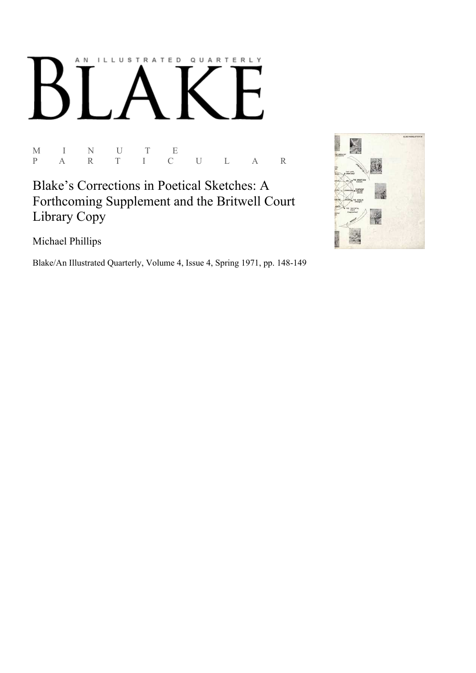## AN ILLUSTRATED QUARTERLY

 $\begin{array}{ccccccccc} \textrm{M} & & I & & \textrm{N} & & \textrm{U} & & \textrm{T} & & \textrm{E} \\ \textrm{P} & & \textrm{A} & & \textrm{R} & & \textrm{T} & & \textrm{I} & & \textrm{C} \end{array}$ P A R T I C U L A R

Blake's Corrections in Poetical Sketches: A Forthcoming Supplement and the Britwell Court Library Copy

Michael Phillips

Blake/An Illustrated Quarterly, Volume 4, Issue 4, Spring 1971, pp. 148-149

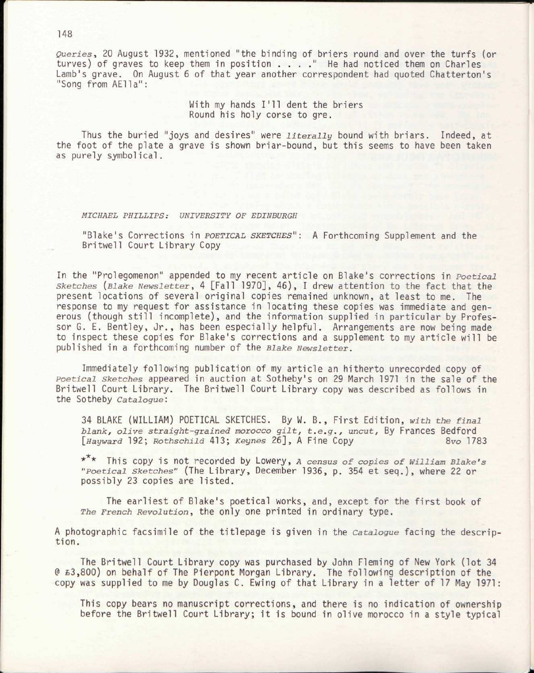*Queries,* 20 August 1932, mentioned "the binding of briers round and over the turfs (or turves) of graves to keep them in position . . . . " He had noticed them on Charles Lamb's grave. On August 6 of that year another correspondent had quoted Chatterton's "Song from AElla":

> With my hands I'll dent the briers Round his holy corse to gre.

Thus the buried "joys and desires" were *literally* bound with briars. Indeed, at the foot of the plate a grave is shown briar-bound, but this seems to have been taken as purely symbolical.

## *MICHAEL PHILLIPS: UNIVERSITY OF EDINBURGH*

"Blake's Corrections in *POETICAL SKETCHES":* A Forthcoming Supplement and the Britwell Court Library Copy

In the "Prolegomenon" appended to my recent article on Blake's corrections in *Poetical sketches {Blake Newsletter,* 4 [Fall 1970], 46), I drew attention to the fact that the present locations of several original copies remained unknown, at least to me. The response to my request for assistance in locating these copies was immediate and generous (though still incomplete), and the information supplied in particular by Professor G. E. Bentley, Jr., has been especially helpful. Arrangements are now being made to inspect these copies for Blake's corrections and a supplement to my article will be published in a forthcoming number of the *Blake Newsletter.* 

Immediately following publication of my article an hitherto unrecorded copy of *Poetical sketches* appeared in auction at Sotheby's on 29 March 1971 in the sale of the Britwell Court Library. The Britwell Court Library copy was described as follows in the Sotheby *Catalogue:* 

34 BLAKE (WILLIAM) POETICAL SKETCHES. By W. B., First Edition, *with the final blank, olive straight-grained morocco gilt, t.e.g., uncut,* By Frances Bedford *[Hayward* 192; *Rothschild* 413; *Keynes* 26], A Fine Copy *8vo* 1783

\* \* This copy is not recorded by Lowery, *A census of copies of William Blake's "Poetical sketches"* (The Library, December 1936, p. 354 et seq.), where 22 or possibly 23 copies are listed.

The earliest of Blake's poetical works, and, except for the first book of *The French Revolution,* the only one printed in ordinary type.

A photographic facsimile of the titlepage is given in the *Catalogue* facing the description.

The Britwell Court Library copy was purchased by John Fleming of New York (lot 34 @ £3,800) on behalf of The Pierpont Morgan Library. The following description of the copy was supplied to me by Douglas C. Ewing of that Library in a letter of 17 May 1971:

This copy bears no manuscript corrections, and there is no indication of ownership before the Britwell Court Library; it is bound in olive morocco in a style typical